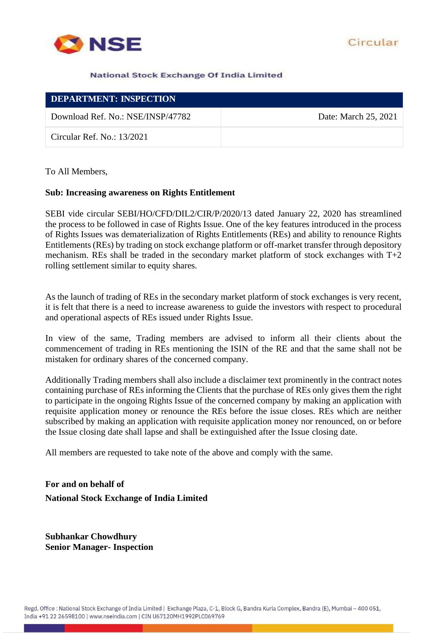



## **National Stock Exchange Of India Limited**

| <b>DEPARTMENT: INSPECTION</b>     |                      |
|-----------------------------------|----------------------|
| Download Ref. No.: NSE/INSP/47782 | Date: March 25, 2021 |
| Circular Ref. No.: 13/2021        |                      |

To All Members,

## **Sub: Increasing awareness on Rights Entitlement**

SEBI vide circular SEBI/HO/CFD/DIL2/CIR/P/2020/13 dated January 22, 2020 has streamlined the process to be followed in case of Rights Issue. One of the key features introduced in the process of Rights Issues was dematerialization of Rights Entitlements (REs) and ability to renounce Rights Entitlements (REs) by trading on stock exchange platform or off-market transfer through depository mechanism. REs shall be traded in the secondary market platform of stock exchanges with  $T+2$ rolling settlement similar to equity shares.

As the launch of trading of REs in the secondary market platform of stock exchanges is very recent, it is felt that there is a need to increase awareness to guide the investors with respect to procedural and operational aspects of REs issued under Rights Issue.

In view of the same, Trading members are advised to inform all their clients about the commencement of trading in REs mentioning the ISIN of the RE and that the same shall not be mistaken for ordinary shares of the concerned company.

Additionally Trading members shall also include a disclaimer text prominently in the contract notes containing purchase of REs informing the Clients that the purchase of REs only gives them the right to participate in the ongoing Rights Issue of the concerned company by making an application with requisite application money or renounce the REs before the issue closes. REs which are neither subscribed by making an application with requisite application money nor renounced, on or before the Issue closing date shall lapse and shall be extinguished after the Issue closing date.

All members are requested to take note of the above and comply with the same.

**For and on behalf of National Stock Exchange of India Limited**

**Subhankar Chowdhury Senior Manager- Inspection**